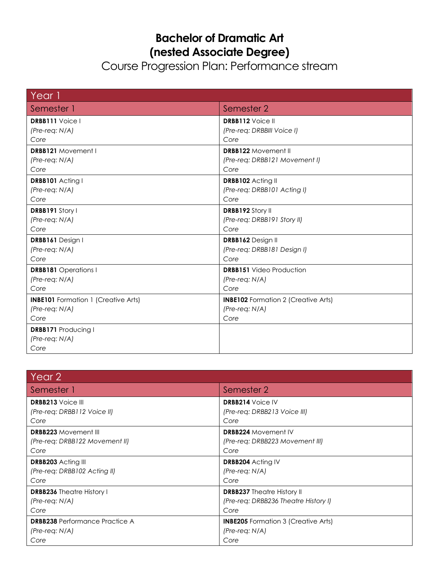## **Bachelor of Dramatic Art (nested Associate Degree)**

Course Progression Plan: Performance stream

| Year 1                                     |                                            |
|--------------------------------------------|--------------------------------------------|
| Semester 1                                 | Semester 2                                 |
| <b>DRBB111</b> Voice I                     | <b>DRBB112</b> Voice II                    |
| $(Pre-reg: N/A)$                           | (Pre-req: DRBBIII Voice I)                 |
| Core                                       | Core                                       |
| <b>DRBB121</b> Movement I                  | <b>DRBB122 Movement II</b>                 |
| $(Pre-reg: N/A)$                           | (Pre-req: DRBB121 Movement I)              |
| Core                                       | Core                                       |
| DRBB101 Acting I                           | DRBB102 Acting II                          |
| $(Pre-reg: N/A)$                           | (Pre-req: DRBB101 Acting I)                |
| Core                                       | Core                                       |
| DRBB191 Story I                            | <b>DRBB192 Story II</b>                    |
| (Pre-req: N/A)                             | (Pre-req: DRBB191 Story II)                |
| Core                                       | Core                                       |
| DRBB161 Design I                           | DRBB162 Design II                          |
| $(Pre-reg: N/A)$                           | (Pre-req: DRBB181 Design I)                |
| Core                                       | Core                                       |
| <b>DRBB181</b> Operations I                | <b>DRBB151</b> Video Production            |
| $(Pre-reg: N/A)$                           | $(Pre-reg: N/A)$                           |
| Core                                       | Core                                       |
| <b>INBE101</b> Formation 1 (Creative Arts) | <b>INBE102</b> Formation 2 (Creative Arts) |
| $(Pre-reg: N/A)$                           | $(Pre-reg: N/A)$                           |
| Core                                       | Core                                       |
| <b>DRBB171 Producing I</b>                 |                                            |
| $(Pre-reg: N/A)$                           |                                            |
| Core                                       |                                            |

| Year 2                                |                                            |
|---------------------------------------|--------------------------------------------|
| Semester 1                            | Semester 2                                 |
| <b>DRBB213</b> Voice III              | <b>DRBB214</b> Voice IV                    |
| (Pre-req: DRBB112 Voice II)           | (Pre-req: DRBB213 Voice III)               |
| Core                                  | Core                                       |
| <b>DRBB223 Movement III</b>           | <b>DRBB224 Movement IV</b>                 |
| (Pre-reg: DRBB122 Movement II)        | (Pre-reg: DRBB223 Movement III)            |
| Core                                  | Core                                       |
| <b>DRBB203</b> Acting III             | <b>DRBB204 Acting IV</b>                   |
| (Pre-req: DRBB102 Acting II)          | $(Pre-reg: N/A)$                           |
| Core                                  | Core                                       |
| <b>DRBB236</b> Theatre History I      | <b>DRBB237</b> Theatre History II          |
| $(Pre-reg: N/A)$                      | (Pre-req: DRBB236 Theatre History I)       |
| Core                                  | Core                                       |
| <b>DRBB238</b> Performance Practice A | <b>INBE205</b> Formation 3 (Creative Arts) |
| $(Pre-reg: N/A)$                      | $(Pre-reg: N/A)$                           |
| Core                                  | Core                                       |